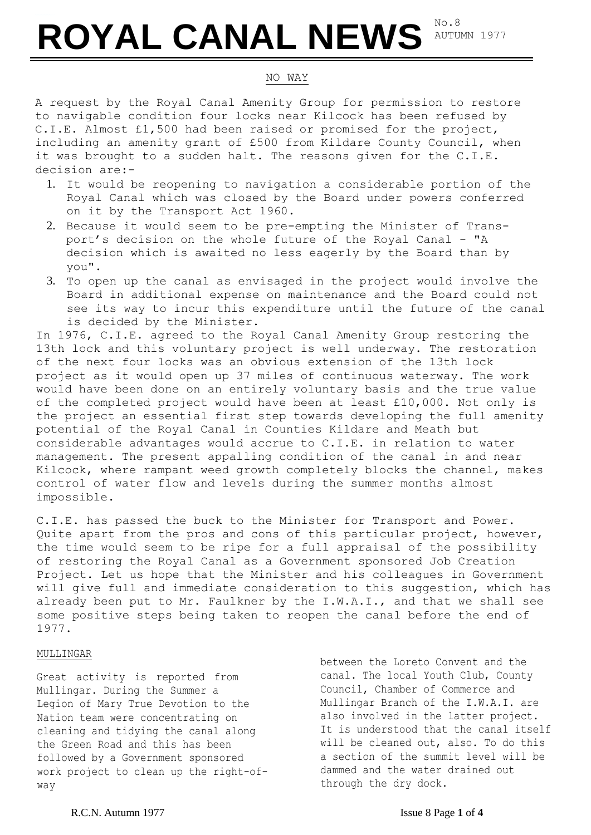# ROYAL CANAL NEWS AUTU

AUTUMN 1977

# NO WAY

A request by the Royal Canal Amenity Group for permission to restore to navigable condition four locks near Kilcock has been refused by C.I.E. Almost £1,500 had been raised or promised for the project, including an amenity grant of £500 from Kildare County Council, when it was brought to a sudden halt. The reasons given for the C.I.E. decision are:-

- 1. It would be reopening to navigation a considerable portion of the Royal Canal which was closed by the Board under powers conferred on it by the Transport Act 1960.
- 2. Because it would seem to be pre-empting the Minister of Transport's decision on the whole future of the Royal Canal - "A decision which is awaited no less eagerly by the Board than by you".
- 3. To open up the canal as envisaged in the project would involve the Board in additional expense on maintenance and the Board could not see its way to incur this expenditure until the future of the canal is decided by the Minister.

In 1976, C.I.E. agreed to the Royal Canal Amenity Group restoring the 13th lock and this voluntary project is well underway. The restoration of the next four locks was an obvious extension of the 13th lock project as it would open up 37 miles of continuous waterway. The work would have been done on an entirely voluntary basis and the true value of the completed project would have been at least £10,000. Not only is the project an essential first step towards developing the full amenity potential of the Royal Canal in Counties Kildare and Meath but considerable advantages would accrue to C.I.E. in relation to water management. The present appalling condition of the canal in and near Kilcock, where rampant weed growth completely blocks the channel, makes control of water flow and levels during the summer months almost impossible.

C.I.E. has passed the buck to the Minister for Transport and Power. Quite apart from the pros and cons of this particular project, however, the time would seem to be ripe for a full appraisal of the possibility of restoring the Royal Canal as a Government sponsored Job Creation Project. Let us hope that the Minister and his colleagues in Government will give full and immediate consideration to this suggestion, which has already been put to Mr. Faulkner by the I.W.A.I., and that we shall see some positive steps being taken to reopen the canal before the end of 1977.

## MULLINGAR

Great activity is reported from Mullingar. During the Summer a Legion of Mary True Devotion to the Nation team were concentrating on cleaning and tidying the canal along the Green Road and this has been followed by a Government sponsored work project to clean up the right-ofway

between the Loreto Convent and the canal. The local Youth Club, County Council, Chamber of Commerce and Mullingar Branch of the I.W.A.I. are also involved in the latter project. It is understood that the canal itself will be cleaned out, also. To do this a section of the summit level will be dammed and the water drained out through the dry dock.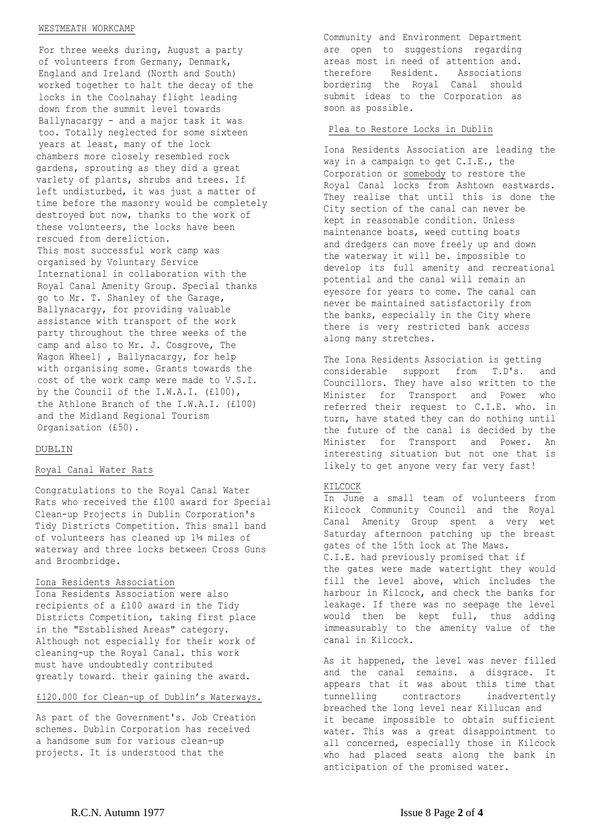#### WESTMEATH WORKCAMP

For three weeks during, August a party of volunteers from Germany, Denmark, England and Ireland (North and South) worked together to halt the decay of the locks in the Coolnahay flight leading down from the summit level towards Ballynacargy - and a major task it was too. Totally neglected for some sixteen years at least, many of the lock chambers more closely resembled rock gardens, sprouting as they did a great var1ety of plants, shrubs and trees. If left undisturbed, it was just a matter of time before the masonry would be completely destroyed but now, thanks to the work of these volunteers, the locks have been rescued from dereliction. This most successful work camp was organised by Voluntary Service International in collaboration with the Royal Canal Amenity Group. Special thanks go to Mr. T. Shanley of the Garage, Ballynacargy, for providing valuable assistance with transport of the work party throughout the three weeks of the camp and also to Mr. J. Cosgrove, The Wagon Wheel} , Ballynacargy, for help with organising some. Grants towards the cost of the work camp were made to V.S.I. by the Council of the I.W.A.I. (£100), the Athlone Branch of the I.W.A.I. (£100) and the Midland Regional Tourism Organisation (£50).

#### DUBLIN

### Royal Canal Water Rats

Congratulations to the Royal Canal Water Rats who received the £100 award for Special Clean-up Projects in Dublin Corporation's Tidy Districts Competition. This small band of volunteers has cleaned up 1¼ miles of waterway and three locks between Cross Guns and Broombridge.

#### Iona Residents Association

Iona Residents Association were also recipients of a £100 award in the Tidy Districts Competition, taking first place in the "Established Areas" category. Although not especially for their work of cleaning-up the Royal Canal. this work must have undoubtedly contributed greatly toward. their gaining the award.

## £120.000 for Clean-up of Dublin's Waterways.

As part of the Government's. Job Creation schemes. Dublin Corporation has received a handsome sum for various clean-up projects. It is understood that the

Community and Environment Department are open to suggestions regarding areas most in need of attention and. therefore Resident. Associations bordering the Royal Canal should submit ideas to the Corporation as soon as possible.

#### Plea to Restore Locks in Dublin

Iona Residents Association are leading the way in a campaign to get C.I.E., the Corporation or somebody to restore the Royal Canal locks from Ashtown eastwards. They realise that until this is done the City section of the canal can never be kept in reasonable condition. Unless maintenance boats, weed cutting boats and dredgers can move freely up and down the waterway it will be. impossible to develop its full amenity and recreational potential and the canal will remain an eyesore for years to come. The canal can never be maintained satisfactorily from the banks, especially in the City where there is very restricted bank access along many stretches.

The Iona Residents Association is getting considerable support from T.D's. and Councillors. They have also written to the Minister for Transport and Power who referred their request to C.I.E. who. in turn, have stated they can do nothing until the future of the canal is decided by the Minister for Transport and Power. An interesting situation but not one that is likely to get anyone very far very fast!

#### KILCOCK

canal in Kilcock.

In June a small team of volunteers from Kilcock Community Council and the Royal Canal Amenity Group spent a very wet Saturday afternoon patching up the breast gates of the 15th lock at The Maws. C.I.E. had previously promised that if the gates were made watertight they would fill the level above, which includes the harbour in Kilcock, and check the banks for leakage. If there was no seepage the level would then be kept full, thus adding immeasurably to the amenity value of the

As it happened, the level was never filled and the canal remains. a disgrace. It appears that it was about this time that tunnelling contractors inadvertently breached the long level near Killucan and it became impossible to obtain sufficient water. This was a great disappointment to all concerned, especially those in Kilcock who had placed seats along the bank in anticipation of the promised water.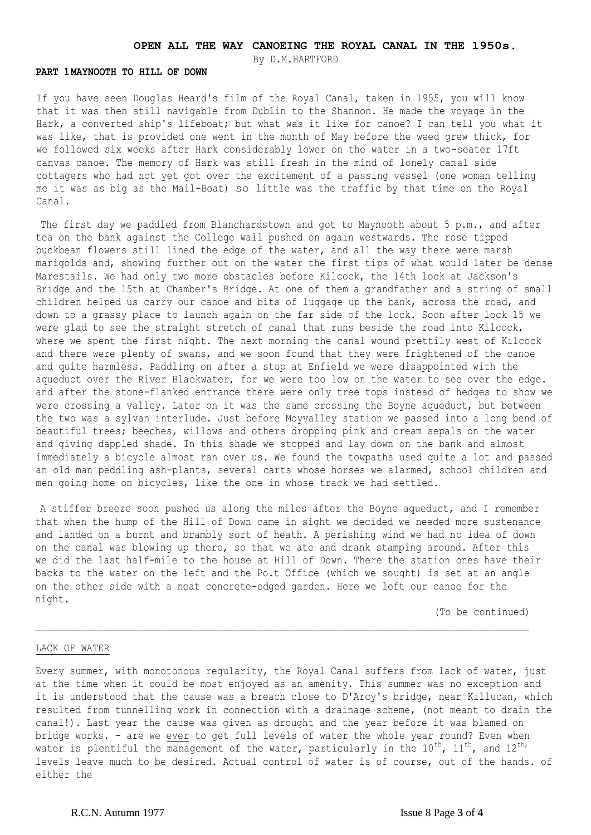# **OPEN ALL THE WAY CANOEING THE ROYAL CANAL IN THE 1950s.**

By D.M.HARTFORD

#### **PART 1MAYNOOTH TO HILL OF DOWN**

If you have seen Douglas Heard's film of the Royal Canal, taken in 1955, you will know that it was then still navigable from Dublin to the Shannon. He made the voyage in the Hark, a converted ship's lifeboat; but what was it like for canoe? I can tell you what it was like, that is provided one went in the month of May before the weed grew thick, for we followed six weeks after Hark considerably lower on the water in a two-seater 17ft canvas canoe. The memory of Hark was still fresh in the mind of lonely canal side cottagers who had not yet got over the excitement of a passing vessel (one woman telling me it was as big as the Mail-Boat) so little was the traffic by that time on the Royal Canal.

The first day we paddled from Blanchardstown and got to Maynooth about 5 p.m., and after tea on the bank against the College wall pushed on again westwards. The rose tipped buckbean flowers still lined the edge of the water, and all the way there were marsh marigolds and, showing further out on the water the first tips of what would later be dense Marestails. We had only two more obstacles before Kilcock, the 14th lock at Jackson's Bridge and the 15th at Chamber's Bridge. At one of them a grandfather and a string of small children helped us carry our canoe and bits of luggage up the bank, across the road, and down to a grassy place to launch again on the far side of the lock. Soon after lock 15 we were glad to see the straight stretch of canal that runs beside the road into Kilcock, where we spent the first night. The next morning the canal wound prettily west of Kilcock and there were plenty of swans, and we soon found that they were frightened of the canoe and quite harmless. Paddling on after a stop at Enfield we were disappointed with the aqueduct over the River Blackwater, for we were too low on the water to see over the edge. and after the stone-flanked entrance there were only tree tops instead of hedges to show we were crossing a valley. Later on it was the same crossing the Boyne aqueduct, but between the two was a sylvan interlude. Just before Moyvalley station we passed into a long bend of beautiful trees; beeches, willows and others dropping pink and cream sepals on the water and giving dappled shade. In this shade we stopped and lay down on the bank and almost immediately a bicycle almost ran over us. We found the towpaths used quite a lot and passed an old man peddling ash-plants, several carts whose horses we alarmed, school children and men going home on bicycles, like the one in whose track we had settled.

A stiffer breeze soon pushed us along the miles after the Boyne aqueduct, and I remember that when the hump of the Hill of Down came in sight we decided we needed more sustenance and landed on a burnt and brambly sort of heath. A perishing wind we had no idea of down on the canal was blowing up there, so that we ate and drank stamping around. After this we did the last half-mile to the house at Hill of Down. There the station ones have their backs to the water on the left and the Po.t Office (which we sought) is set at an angle on the other side with a neat concrete-edged garden. Here we left our canoe for the night.

(To be continued)

#### LACK OF WATER

Every summer, with monotonous regularity, the Royal Canal suffers from lack of water, just at the time when it could be most enjoyed as an amenity. This summer was no exception and it is understood that the cause was a breach close to D'Arcy's bridge, near Killucan, which resulted from tunnelling work in connection with a drainage scheme, (not meant to drain the canal!). Last year the cause was given as drought and the year before it was blamed on bridge works. - are we ever to get full levels of water the whole year round? Even when water is plentiful the management of the water, particularly in the  $10^{th}$ ,  $11^{th}$ , and  $12^{th}$ , levels leave much to be desired. Actual control of water is of course, out of the hands. of either the